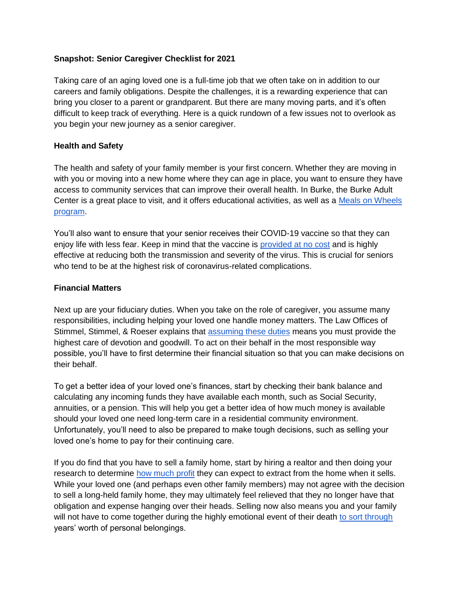## **Snapshot: Senior Caregiver Checklist for 2021**

Taking care of an aging loved one is a full-time job that we often take on in addition to our careers and family obligations. Despite the challenges, it is a rewarding experience that can bring you closer to a parent or grandparent. But there are many moving parts, and it's often difficult to keep track of everything. Here is a quick rundown of a few issues not to overlook as you begin your new journey as a senior caregiver.

## **Health and Safety**

The health and safety of your family member is your first concern. Whether they are moving in with you or moving into a new home where they can age in place, you want to ensure they have access to community services that can improve their overall health. In Burke, the Burke Adult Center is a great place to visit, and it offers educational activities, as well as a [Meals on Wheels](https://www.burkeny.org/burke-adult-center/)  [program.](https://www.burkeny.org/burke-adult-center/)

You'll also want to ensure that your senior receives their COVID-19 vaccine so that they can enjoy life with less fear. Keep in mind that the vaccine is [provided at no cost](https://www.goodrx.com/covid-19/how-much-will-the-coronavirus-covid-19-vaccine-cost) and is highly effective at reducing both the transmission and severity of the virus. This is crucial for seniors who tend to be at the highest risk of coronavirus-related complications.

## **Financial Matters**

Next up are your fiduciary duties. When you take on the role of caregiver, you assume many responsibilities, including helping your loved one handle money matters. The Law Offices of Stimmel, Stimmel, & Roeser explains that [assuming these duties](https://www.stimmel-law.com/en/articles/fiduciary-duty-what-it-and-what-does-it-impose-upon-you) means you must provide the highest care of devotion and goodwill. To act on their behalf in the most responsible way possible, you'll have to first determine their financial situation so that you can make decisions on their behalf.

To get a better idea of your loved one's finances, start by checking their bank balance and calculating any incoming funds they have available each month, such as Social Security, annuities, or a pension. This will help you get a better idea of how much money is available should your loved one need long-term care in a residential community environment. Unfortunately, you'll need to also be prepared to make tough decisions, such as selling your loved one's home to pay for their continuing care.

If you do find that you have to sell a family home, start by hiring a realtor and then doing your research to determine [how much profit](https://www.redfin.com/sell-a-home/home-sale-proceeds-calculator) they can expect to extract from the home when it sells. While your loved one (and perhaps even other family members) may not agree with the decision to sell a long-held family home, they may ultimately feel relieved that they no longer have that obligation and expense hanging over their heads. Selling now also means you and your family will not have to come together during the highly emotional event of their death [to sort through](https://www.budgetdumpster.com/blog/how-clean-relatives-house/) years' worth of personal belongings.